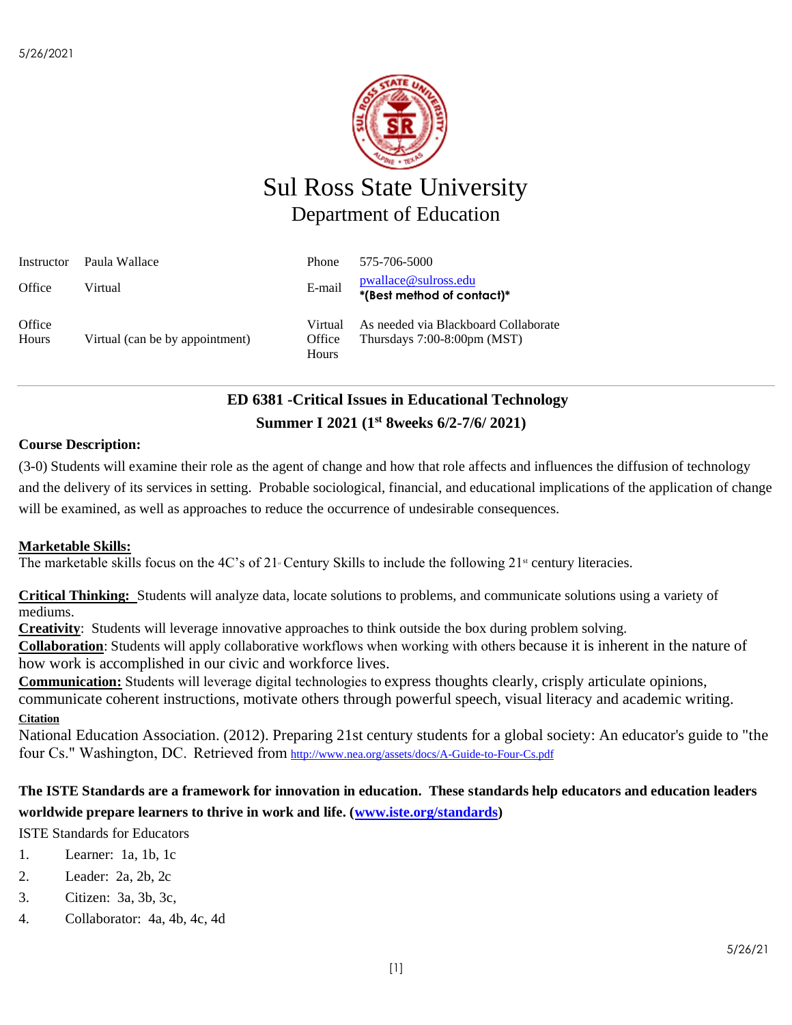

# Sul Ross State University Department of Education

| Instructor      | Paula Wallace                   | Phone                      | 575-706-5000                                                           |
|-----------------|---------------------------------|----------------------------|------------------------------------------------------------------------|
| Office          | Virtual                         | E-mail                     | pwallace@sulross.edu<br>*(Best method of contact)*                     |
| Office<br>Hours | Virtual (can be by appointment) | Virtual<br>Office<br>Hours | As needed via Blackboard Collaborate<br>Thursdays $7:00-8:00$ pm (MST) |

# **ED 6381 -Critical Issues in Educational Technology Summer I 2021 (1 st 8weeks 6/2-7/6/ 2021)**

### **Course Description:**

(3-0) Students will examine their role as the agent of change and how that role affects and influences the diffusion of technology and the delivery of its services in setting. Probable sociological, financial, and educational implications of the application of change will be examined, as well as approaches to reduce the occurrence of undesirable consequences.

### **Marketable Skills:**

The marketable skills focus on the 4C's of 21 Century Skills to include the following  $21^{\text{st}}$  century literacies.

**Critical Thinking:** Students will analyze data, locate solutions to problems, and communicate solutions using a variety of mediums.

**Creativity**: Students will leverage innovative approaches to think outside the box during problem solving.

**Collaboration**: Students will apply collaborative workflows when working with others because it is inherent in the nature of how work is accomplished in our civic and workforce lives.

**Communication:** Students will leverage digital technologies to express thoughts clearly, crisply articulate opinions, communicate coherent instructions, motivate others through powerful speech, visual literacy and academic writing. **Citation**

National Education Association. (2012). Preparing 21st century students for a global society: An educator's guide to "the four Cs." Washington, DC.  Retrieved from <http://www.nea.org/assets/docs/A-Guide-to-Four-Cs.pdf>

### **The ISTE Standards are a framework for innovation in education. These standards help educators and education leaders worldwide prepare learners to thrive in work and life. [\(www.iste.org/standards\)](http://www.iste.org/standards)**

ISTE Standards for Educators

- 1. Learner: 1a, 1b, 1c
- 2. Leader: 2a, 2b, 2c
- 3. Citizen: 3a, 3b, 3c,
- 4. Collaborator: 4a, 4b, 4c, 4d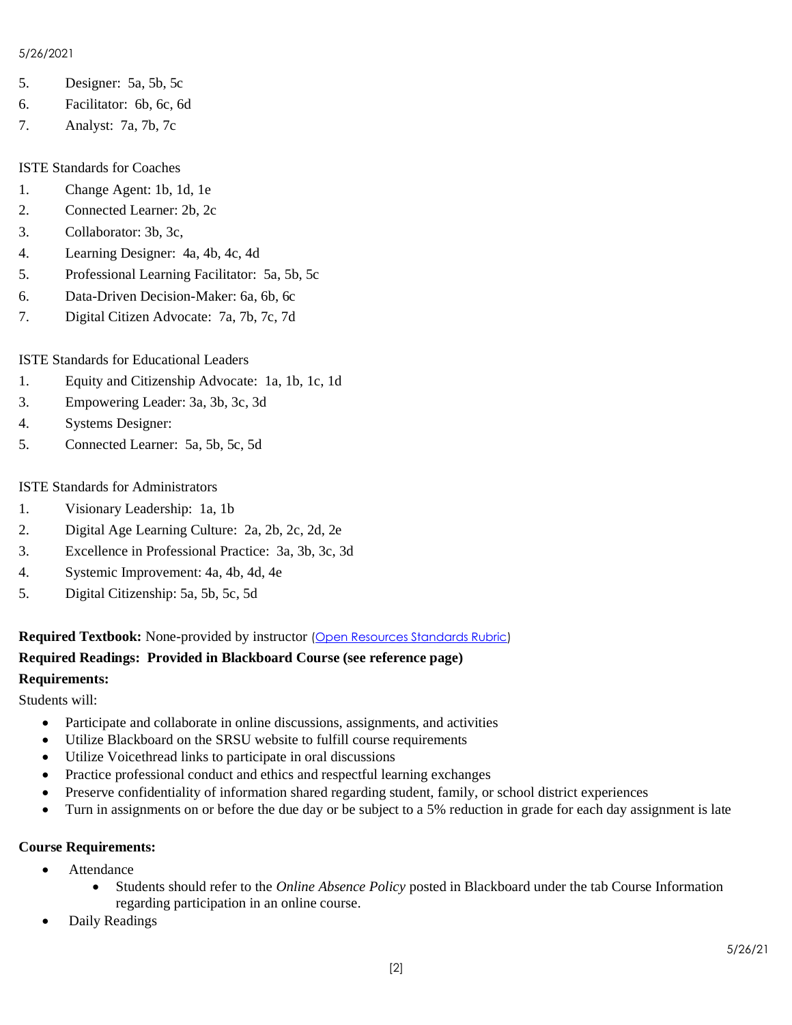#### 5/26/2021

- 5. Designer: 5a, 5b, 5c
- 6. Facilitator: 6b, 6c, 6d
- 7. Analyst: 7a, 7b, 7c

### ISTE Standards for Coaches

- 1. Change Agent: 1b, 1d, 1e
- 2. Connected Learner: 2b, 2c
- 3. Collaborator: 3b, 3c,
- 4. Learning Designer: 4a, 4b, 4c, 4d
- 5. Professional Learning Facilitator: 5a, 5b, 5c
- 6. Data-Driven Decision-Maker: 6a, 6b, 6c
- 7. Digital Citizen Advocate: 7a, 7b, 7c, 7d

# ISTE Standards for Educational Leaders

- 1. Equity and Citizenship Advocate: 1a, 1b, 1c, 1d
- 3. Empowering Leader: 3a, 3b, 3c, 3d
- 4. Systems Designer:
- 5. Connected Learner: 5a, 5b, 5c, 5d

### ISTE Standards for Administrators

- 1. Visionary Leadership: 1a, 1b
- 2. Digital Age Learning Culture: 2a, 2b, 2c, 2d, 2e
- 3. Excellence in Professional Practice: 3a, 3b, 3c, 3d
- 4. Systemic Improvement: 4a, 4b, 4d, 4e
- 5. Digital Citizenship: 5a, 5b, 5c, 5d

**Required Textbook:** None-provided by instructor [\(Open Resources Standards Rubric\)](https://www.achieve.org/files/AchieveOERRubrics.pdf)

#### **Required Readings: Provided in Blackboard Course (see reference page) Requirements:**

Students will:

- Participate and collaborate in online discussions, assignments, and activities
- Utilize Blackboard on the SRSU website to fulfill course requirements
- Utilize Voicethread links to participate in oral discussions
- Practice professional conduct and ethics and respectful learning exchanges
- Preserve confidentiality of information shared regarding student, family, or school district experiences
- Turn in assignments on or before the due day or be subject to a 5% reduction in grade for each day assignment is late

### **Course Requirements:**

- Attendance
	- Students should refer to the *Online Absence Policy* posted in Blackboard under the tab Course Information regarding participation in an online course.
- Daily Readings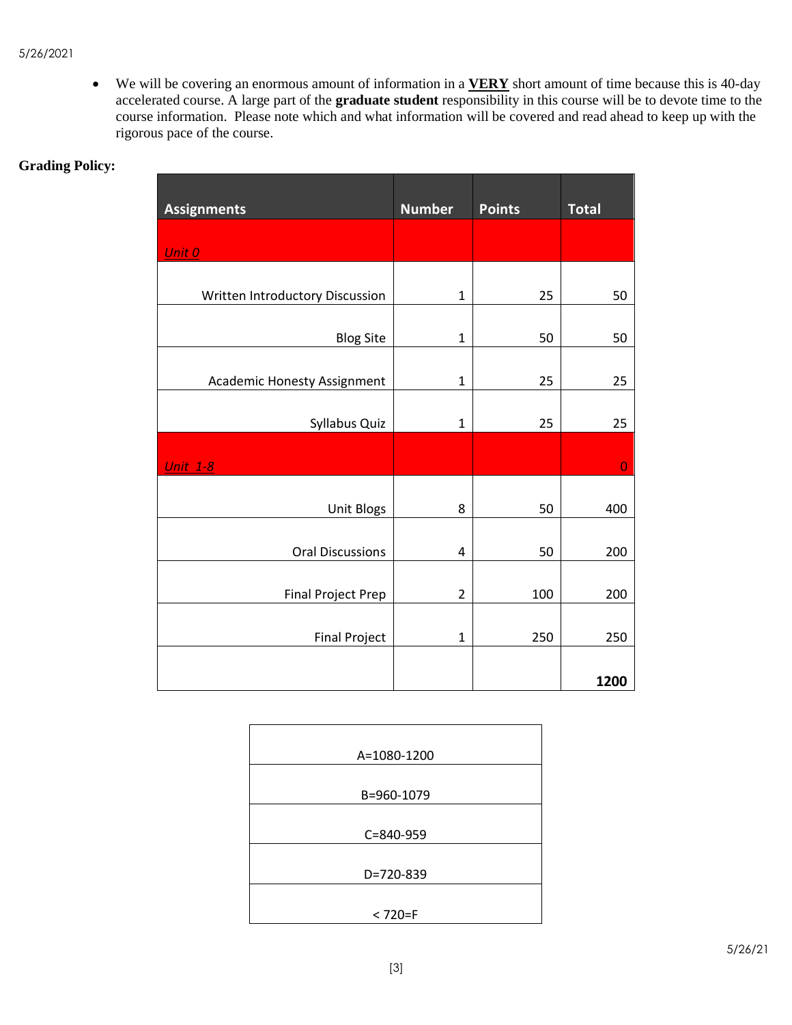• We will be covering an enormous amount of information in a **VERY** short amount of time because this is 40-day accelerated course. A large part of the **graduate student** responsibility in this course will be to devote time to the course information. Please note which and what information will be covered and read ahead to keep up with the rigorous pace of the course.

| <b>Assignments</b>              | <b>Number</b>  | <b>Points</b> | <b>Total</b> |
|---------------------------------|----------------|---------------|--------------|
| Unit 0                          |                |               |              |
| Written Introductory Discussion | $\mathbf{1}$   | 25            | 50           |
| <b>Blog Site</b>                | 1              | 50            | 50           |
| Academic Honesty Assignment     | 1              | 25            | 25           |
| Syllabus Quiz                   | $\mathbf{1}$   | 25            | 25           |
| <b>Unit 1-8</b>                 |                |               | $\bf{O}$     |
| Unit Blogs                      | 8              | 50            | 400          |
| <b>Oral Discussions</b>         | 4              | 50            | 200          |
| <b>Final Project Prep</b>       | $\overline{2}$ | 100           | 200          |
| <b>Final Project</b>            | $\mathbf{1}$   | 250           | 250          |
|                                 |                |               | 1200         |

# **Grading Policy:**

| A=1080-1200 |
|-------------|
|             |
| B=960-1079  |
|             |
| C=840-959   |
|             |
| D=720-839   |
|             |
| $< 720 = F$ |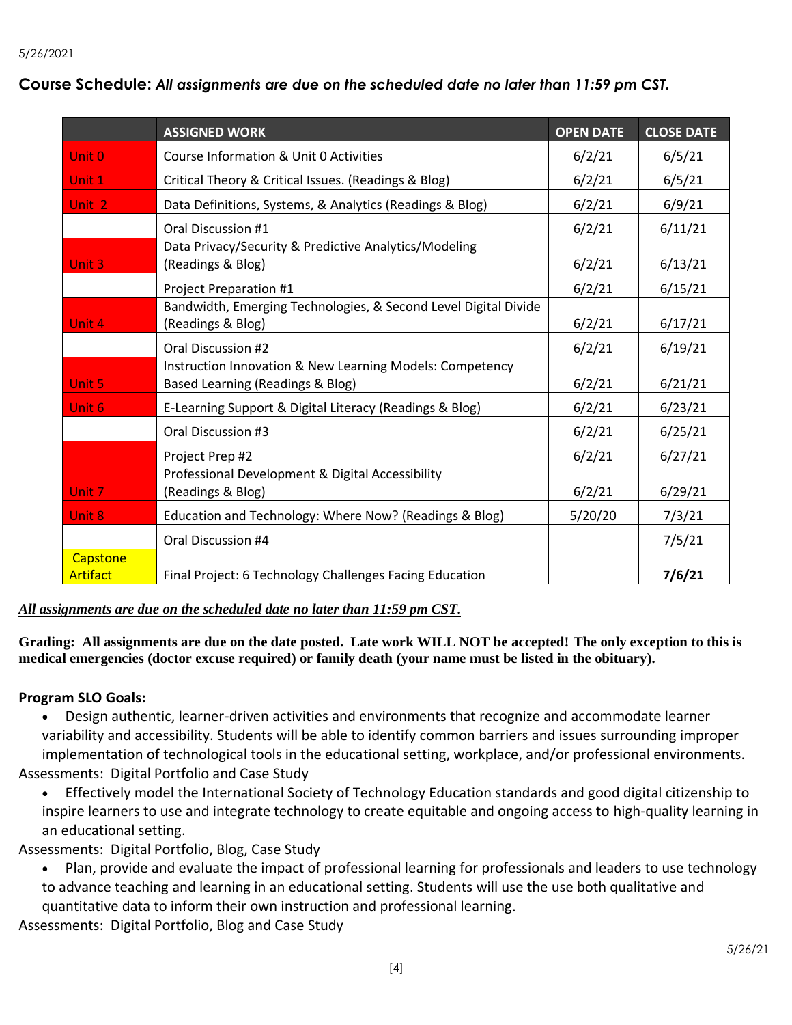| Course Schedule: All assignments are due on the scheduled date no later than 11:59 pm CST. |  |  |  |
|--------------------------------------------------------------------------------------------|--|--|--|
|                                                                                            |  |  |  |

|                      | <b>ASSIGNED WORK</b>                                                                         | <b>OPEN DATE</b> | <b>CLOSE DATE</b> |
|----------------------|----------------------------------------------------------------------------------------------|------------------|-------------------|
| Unit 0               | Course Information & Unit 0 Activities                                                       | 6/2/21           | 6/5/21            |
| Unit 1               | Critical Theory & Critical Issues. (Readings & Blog)                                         | 6/2/21           | 6/5/21            |
| Unit <sub>2</sub>    | Data Definitions, Systems, & Analytics (Readings & Blog)                                     | 6/2/21           | 6/9/21            |
|                      | Oral Discussion #1                                                                           | 6/2/21           | 6/11/21           |
| Unit 3               | Data Privacy/Security & Predictive Analytics/Modeling<br>(Readings & Blog)                   | 6/2/21           | 6/13/21           |
|                      | Project Preparation #1                                                                       | 6/2/21           | 6/15/21           |
| Unit 4               | Bandwidth, Emerging Technologies, & Second Level Digital Divide<br>(Readings & Blog)         | 6/2/21           | 6/17/21           |
|                      | Oral Discussion #2                                                                           | 6/2/21           | 6/19/21           |
| Unit 5               | Instruction Innovation & New Learning Models: Competency<br>Based Learning (Readings & Blog) | 6/2/21           | 6/21/21           |
| Unit 6               | E-Learning Support & Digital Literacy (Readings & Blog)                                      | 6/2/21           | 6/23/21           |
|                      | Oral Discussion #3                                                                           | 6/2/21           | 6/25/21           |
|                      | Project Prep #2                                                                              | 6/2/21           | 6/27/21           |
| Unit 7               | Professional Development & Digital Accessibility<br>(Readings & Blog)                        | 6/2/21           | 6/29/21           |
| Unit 8               | Education and Technology: Where Now? (Readings & Blog)                                       | 5/20/20          | 7/3/21            |
|                      | Oral Discussion #4                                                                           |                  | 7/5/21            |
| Capstone<br>Artifact | Final Project: 6 Technology Challenges Facing Education                                      |                  | 7/6/21            |

*All assignments are due on the scheduled date no later than 11:59 pm CST.* 

**Grading: All assignments are due on the date posted. Late work WILL NOT be accepted! The only exception to this is medical emergencies (doctor excuse required) or family death (your name must be listed in the obituary).** 

### **Program SLO Goals:**

• Design authentic, learner-driven activities and environments that recognize and accommodate learner variability and accessibility. Students will be able to identify common barriers and issues surrounding improper implementation of technological tools in the educational setting, workplace, and/or professional environments. Assessments: Digital Portfolio and Case Study

• Effectively model the International Society of Technology Education standards and good digital citizenship to inspire learners to use and integrate technology to create equitable and ongoing access to high-quality learning in an educational setting.

Assessments: Digital Portfolio, Blog, Case Study

• Plan, provide and evaluate the impact of professional learning for professionals and leaders to use technology to advance teaching and learning in an educational setting. Students will use the use both qualitative and quantitative data to inform their own instruction and professional learning.

Assessments: Digital Portfolio, Blog and Case Study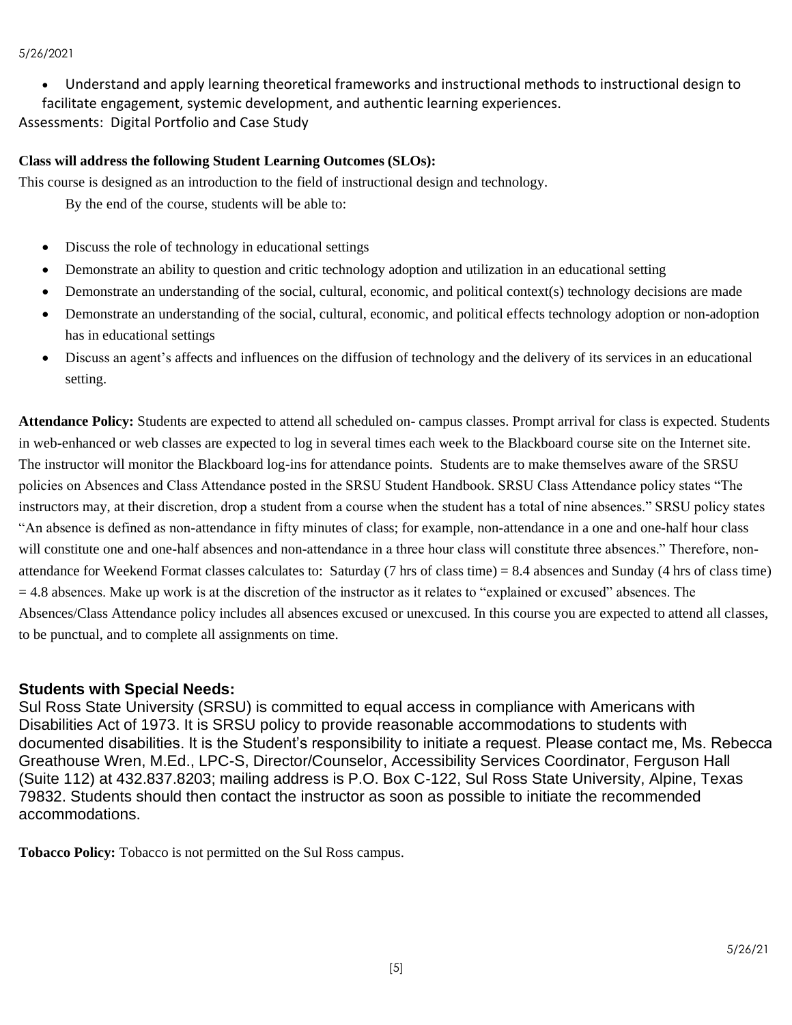#### 5/26/2021

• Understand and apply learning theoretical frameworks and instructional methods to instructional design to

facilitate engagement, systemic development, and authentic learning experiences.

Assessments: Digital Portfolio and Case Study

#### **Class will address the following Student Learning Outcomes (SLOs):**

This course is designed as an introduction to the field of instructional design and technology.

By the end of the course, students will be able to:

- Discuss the role of technology in educational settings
- Demonstrate an ability to question and critic technology adoption and utilization in an educational setting
- Demonstrate an understanding of the social, cultural, economic, and political context(s) technology decisions are made
- Demonstrate an understanding of the social, cultural, economic, and political effects technology adoption or non-adoption has in educational settings
- Discuss an agent's affects and influences on the diffusion of technology and the delivery of its services in an educational setting.

**Attendance Policy:** Students are expected to attend all scheduled on- campus classes. Prompt arrival for class is expected. Students in web-enhanced or web classes are expected to log in several times each week to the Blackboard course site on the Internet site. The instructor will monitor the Blackboard log-ins for attendance points. Students are to make themselves aware of the SRSU policies on Absences and Class Attendance posted in the SRSU Student Handbook. SRSU Class Attendance policy states "The instructors may, at their discretion, drop a student from a course when the student has a total of nine absences." SRSU policy states "An absence is defined as non-attendance in fifty minutes of class; for example, non-attendance in a one and one-half hour class will constitute one and one-half absences and non-attendance in a three hour class will constitute three absences." Therefore, nonattendance for Weekend Format classes calculates to: Saturday (7 hrs of class time) = 8.4 absences and Sunday (4 hrs of class time)  $= 4.8$  absences. Make up work is at the discretion of the instructor as it relates to "explained or excused" absences. The Absences/Class Attendance policy includes all absences excused or unexcused. In this course you are expected to attend all classes, to be punctual, and to complete all assignments on time.

### **Students with Special Needs:**

Sul Ross State University (SRSU) is committed to equal access in compliance with Americans with Disabilities Act of 1973. It is SRSU policy to provide reasonable accommodations to students with documented disabilities. It is the Student's responsibility to initiate a request. Please contact me, Ms. Rebecca Greathouse Wren, M.Ed., LPC-S, Director/Counselor, Accessibility Services Coordinator, Ferguson Hall (Suite 112) at 432.837.8203; mailing address is P.O. Box C-122, Sul Ross State University, Alpine, Texas 79832. Students should then contact the instructor as soon as possible to initiate the recommended accommodations.

**Tobacco Policy:** Tobacco is not permitted on the Sul Ross campus.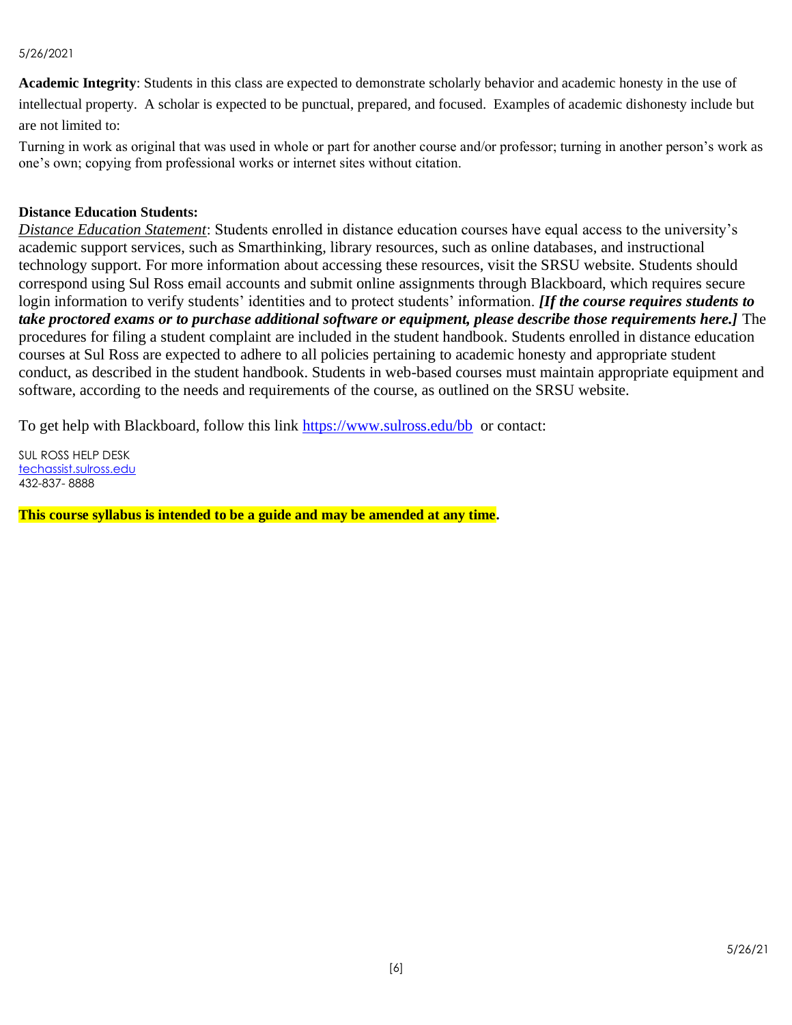#### 5/26/2021

**Academic Integrity**: Students in this class are expected to demonstrate scholarly behavior and academic honesty in the use of

intellectual property. A scholar is expected to be punctual, prepared, and focused. Examples of academic dishonesty include but are not limited to:

Turning in work as original that was used in whole or part for another course and/or professor; turning in another person's work as one's own; copying from professional works or internet sites without citation.

#### **Distance Education Students:**

*Distance Education Statement*: Students enrolled in distance education courses have equal access to the university's academic support services, such as Smarthinking, library resources, such as online databases, and instructional technology support. For more information about accessing these resources, visit the SRSU website. Students should correspond using Sul Ross email accounts and submit online assignments through Blackboard, which requires secure login information to verify students' identities and to protect students' information. *[If the course requires students to take proctored exams or to purchase additional software or equipment, please describe those requirements here.]* The procedures for filing a student complaint are included in the student handbook. Students enrolled in distance education courses at Sul Ross are expected to adhere to all policies pertaining to academic honesty and appropriate student conduct, as described in the student handbook. Students in web-based courses must maintain appropriate equipment and software, according to the needs and requirements of the course, as outlined on the SRSU website.

To get help with Blackboard, follow this link<https://www.sulross.edu/bb>or contact:

SUL ROSS HELP DESK [techassist.sulross.edu](https://techassist.sulross.edu/) 432-837- 8888

**This course syllabus is intended to be a guide and may be amended at any time.**